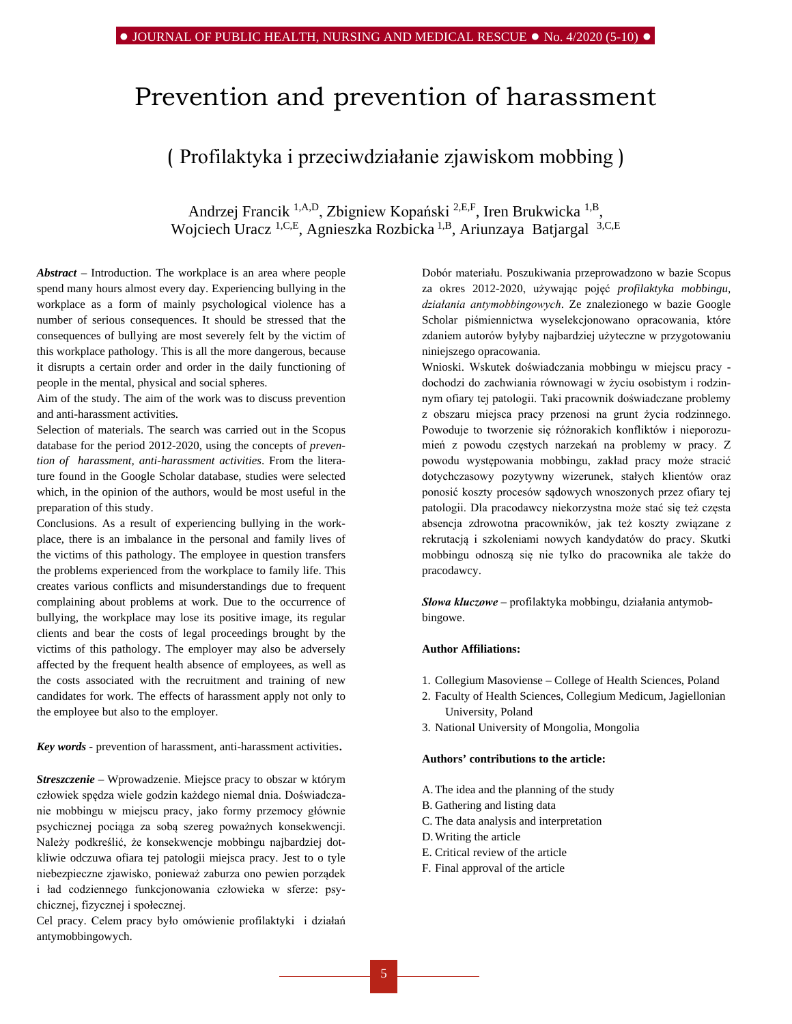# Prevention and prevention of harassment

# ( Profilaktyka i przeciwdziałanie zjawiskom mobbing )

Andrzej Francik 1,A,D, Zbigniew Kopański 2,E,F, Iren Brukwicka 1,B, Wojciech Uracz <sup>1,C,E</sup>, Agnieszka Rozbicka<sup>1,B</sup>, Ariunzaya Batjargal<sup>3,C,E</sup>

*Abstract –* Introduction. The workplace is an area where people spend many hours almost every day. Experiencing bullying in the workplace as a form of mainly psychological violence has a number of serious consequences. It should be stressed that the consequences of bullying are most severely felt by the victim of this workplace pathology. This is all the more dangerous, because it disrupts a certain order and order in the daily functioning of people in the mental, physical and social spheres.

Aim of the study. The aim of the work was to discuss prevention and anti-harassment activities.

Selection of materials. The search was carried out in the Scopus database for the period 2012-2020, using the concepts of *prevention of harassment, anti-harassment activities*. From the literature found in the [Google Scholar database,](http://scholar.google.pl/) studies were selected which, in the opinion of the authors, would be most useful in the preparation of this study.

Conclusions. As a result of experiencing bullying in the workplace, there is an imbalance in the personal and family lives of the victims of this pathology. The employee in question transfers the problems experienced from the workplace to family life. This creates various conflicts and misunderstandings due to frequent complaining about problems at work. Due to the occurrence of bullying, the workplace may lose its positive image, its regular clients and bear the costs of legal proceedings brought by the victims of this pathology. The employer may also be adversely affected by the frequent health absence of employees, as well as the costs associated with the recruitment and training of new candidates for work. The effects of harassment apply not only to the employee but also to the employer.

*Key words -* prevention of harassment, anti-harassment activities.

*Streszczenie –* Wprowadzenie. Miejsce pracy to obszar w którym człowiek spędza wiele godzin każdego niemal dnia. Doświadczanie mobbingu w miejscu pracy, jako formy przemocy głównie psychicznej pociąga za sobą szereg poważnych konsekwencji. Należy podkreślić, że konsekwencje mobbingu najbardziej dotkliwie odczuwa ofiara tej patologii miejsca pracy. Jest to o tyle niebezpieczne zjawisko, ponieważ zaburza ono pewien porządek i ład codziennego funkcjonowania człowieka w sferze: psychicznej, fizycznej i społecznej.

Cel pracy. Celem pracy było omówienie profilaktyki i działań antymobbingowych.

Dobór materiału. Poszukiwania przeprowadzono w bazie Scopus za okres 2012-2020, używając pojęć *profilaktyka mobbingu, działania antymobbingowych*. Ze znalezionego w bazie [Google](http://scholar.google.pl/)  [Scholar](http://scholar.google.pl/) piśmiennictwa wyselekcjonowano opracowania, które zdaniem autorów byłyby najbardziej użyteczne w przygotowaniu niniejszego opracowania.

Wnioski. Wskutek doświadczania mobbingu w miejscu pracy dochodzi do zachwiania równowagi w życiu osobistym i rodzinnym ofiary tej patologii. Taki pracownik doświadczane problemy z obszaru miejsca pracy przenosi na grunt życia rodzinnego. Powoduje to tworzenie się różnorakich konfliktów i nieporozumień z powodu częstych narzekań na problemy w pracy. Z powodu występowania mobbingu, zakład pracy może stracić dotychczasowy pozytywny wizerunek, stałych klientów oraz ponosić koszty procesów sądowych wnoszonych przez ofiary tej patologii. Dla pracodawcy niekorzystna może stać się też częsta absencja zdrowotna pracowników, jak też koszty związane z rekrutacją i szkoleniami nowych kandydatów do pracy. Skutki mobbingu odnoszą się nie tylko do pracownika ale także do pracodawcy.

*Słowa kluczowe –* profilaktyka mobbingu, działania antymobbingowe.

#### **Author Affiliations:**

- 1. Collegium Masoviense College of Health Sciences, Poland
- 2. Faculty of Health Sciences, Collegium Medicum, Jagiellonian University, Poland
- 3. National University of Mongolia, Mongolia

#### **Authors' contributions to the article:**

- A.The idea and the planning of the study
- B. Gathering and listing data
- C. The data analysis and interpretation
- D.Writing the article
- E. Critical review of the article
- F. Final approval of the article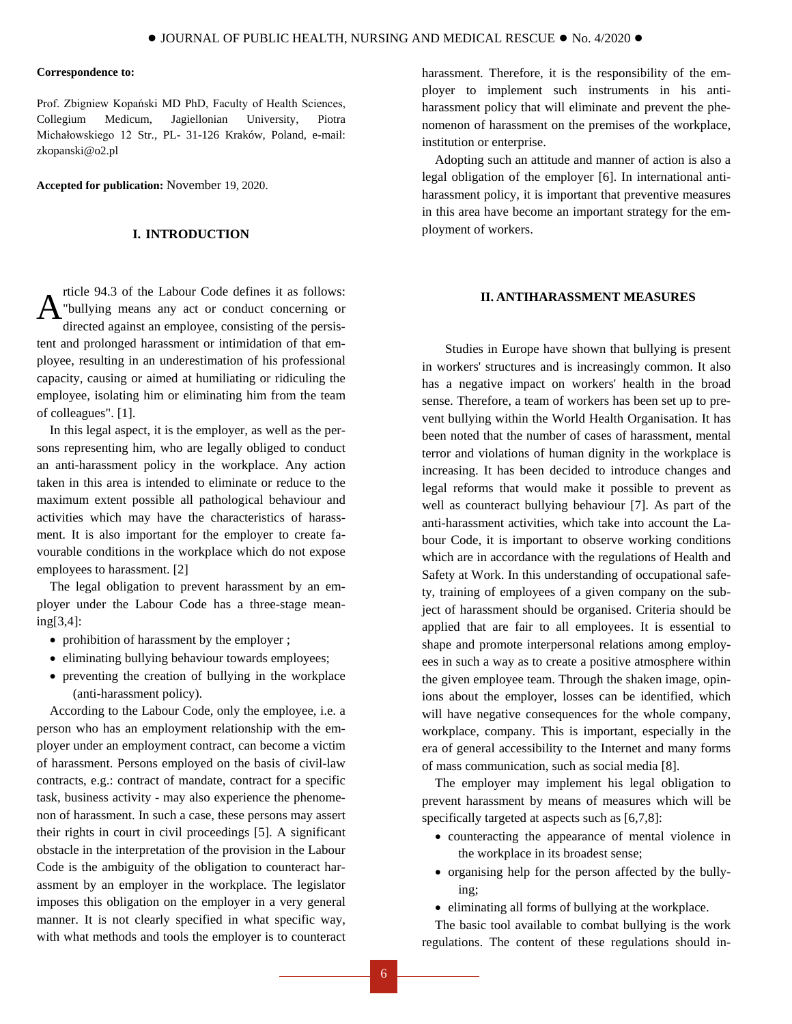#### **Correspondence to:**

Prof. Zbigniew Kopański MD PhD, Faculty of Health Sciences, Collegium Medicum, Jagiellonian University, Piotra Michałowskiego 12 Str., PL- 31-126 Kraków, Poland, e-mail: [zkopanski@o2.pl](mailto:zkopanski@o2.pl)

**Accepted for publication:** November 19, 2020.

# **I. INTRODUCTION**

rticle 94.3 of the Labour Code defines it as follows: "bullying means any act or conduct concerning or directed against an employee, consisting of the persistent and prolonged harassment or intimidation of that employee, resulting in an underestimation of his professional capacity, causing or aimed at humiliating or ridiculing the employee, isolating him or eliminating him from the team of colleagues". [1]. A

In this legal aspect, it is the employer, as well as the persons representing him, who are legally obliged to conduct an anti-harassment policy in the workplace. Any action taken in this area is intended to eliminate or reduce to the maximum extent possible all pathological behaviour and activities which may have the characteristics of harassment. It is also important for the employer to create favourable conditions in the workplace which do not expose employees to harassment. [2]

The legal obligation to prevent harassment by an employer under the Labour Code has a three-stage meaning[3,4]:

- prohibition of harassment by the employer ;
- eliminating bullying behaviour towards employees;
- preventing the creation of bullying in the workplace (anti-harassment policy).

According to the Labour Code, only the employee, i.e. a person who has an employment relationship with the employer under an employment contract, can become a victim of harassment. Persons employed on the basis of civil-law contracts, e.g.: contract of mandate, contract for a specific task, business activity - may also experience the phenomenon of harassment. In such a case, these persons may assert their rights in court in civil proceedings [5]. A significant obstacle in the interpretation of the provision in the Labour Code is the ambiguity of the obligation to counteract harassment by an employer in the workplace. The legislator imposes this obligation on the employer in a very general manner. It is not clearly specified in what specific way, with what methods and tools the employer is to counteract

harassment. Therefore, it is the responsibility of the employer to implement such instruments in his antiharassment policy that will eliminate and prevent the phenomenon of harassment on the premises of the workplace, institution or enterprise.

Adopting such an attitude and manner of action is also a legal obligation of the employer [6]. In international antiharassment policy, it is important that preventive measures in this area have become an important strategy for the employment of workers.

# **II. ANTIHARASSMENT MEASURES**

Studies in Europe have shown that bullying is present in workers' structures and is increasingly common. It also has a negative impact on workers' health in the broad sense. Therefore, a team of workers has been set up to prevent bullying within the World Health Organisation. It has been noted that the number of cases of harassment, mental terror and violations of human dignity in the workplace is increasing. It has been decided to introduce changes and legal reforms that would make it possible to prevent as well as counteract bullying behaviour [7]. As part of the anti-harassment activities, which take into account the Labour Code, it is important to observe working conditions which are in accordance with the regulations of Health and Safety at Work. In this understanding of occupational safety, training of employees of a given company on the subject of harassment should be organised. Criteria should be applied that are fair to all employees. It is essential to shape and promote interpersonal relations among employees in such a way as to create a positive atmosphere within the given employee team. Through the shaken image, opinions about the employer, losses can be identified, which will have negative consequences for the whole company, workplace, company. This is important, especially in the era of general accessibility to the Internet and many forms of mass communication, such as social media [8].

The employer may implement his legal obligation to prevent harassment by means of measures which will be specifically targeted at aspects such as [6,7,8]:

- counteracting the appearance of mental violence in the workplace in its broadest sense;
- organising help for the person affected by the bullying;
- eliminating all forms of bullying at the workplace.

The basic tool available to combat bullying is the work regulations. The content of these regulations should in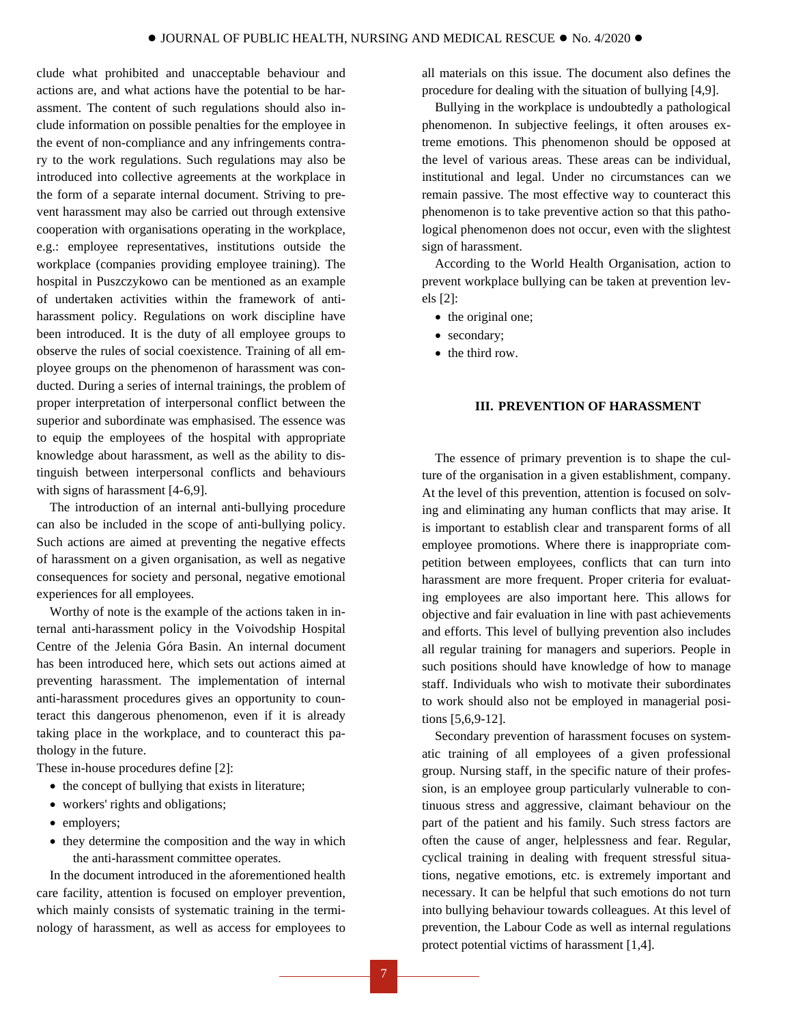clude what prohibited and unacceptable behaviour and actions are, and what actions have the potential to be harassment. The content of such regulations should also include information on possible penalties for the employee in the event of non-compliance and any infringements contrary to the work regulations. Such regulations may also be introduced into collective agreements at the workplace in the form of a separate internal document. Striving to prevent harassment may also be carried out through extensive cooperation with organisations operating in the workplace, e.g.: employee representatives, institutions outside the workplace (companies providing employee training). The hospital in Puszczykowo can be mentioned as an example of undertaken activities within the framework of antiharassment policy. Regulations on work discipline have been introduced. It is the duty of all employee groups to observe the rules of social coexistence. Training of all employee groups on the phenomenon of harassment was conducted. During a series of internal trainings, the problem of proper interpretation of interpersonal conflict between the superior and subordinate was emphasised. The essence was to equip the employees of the hospital with appropriate knowledge about harassment, as well as the ability to distinguish between interpersonal conflicts and behaviours with signs of harassment [4-6,9].

The introduction of an internal anti-bullying procedure can also be included in the scope of anti-bullying policy. Such actions are aimed at preventing the negative effects of harassment on a given organisation, as well as negative consequences for society and personal, negative emotional experiences for all employees.

Worthy of note is the example of the actions taken in internal anti-harassment policy in the Voivodship Hospital Centre of the Jelenia Góra Basin. An internal document has been introduced here, which sets out actions aimed at preventing harassment. The implementation of internal anti-harassment procedures gives an opportunity to counteract this dangerous phenomenon, even if it is already taking place in the workplace, and to counteract this pathology in the future.

These in-house procedures define [2]:

- the concept of bullying that exists in literature;
- workers' rights and obligations;
- employers;
- they determine the composition and the way in which the anti-harassment committee operates.

In the document introduced in the aforementioned health care facility, attention is focused on employer prevention, which mainly consists of systematic training in the terminology of harassment, as well as access for employees to all materials on this issue. The document also defines the procedure for dealing with the situation of bullying [4,9].

Bullying in the workplace is undoubtedly a pathological phenomenon. In subjective feelings, it often arouses extreme emotions. This phenomenon should be opposed at the level of various areas. These areas can be individual, institutional and legal. Under no circumstances can we remain passive. The most effective way to counteract this phenomenon is to take preventive action so that this pathological phenomenon does not occur, even with the slightest sign of harassment.

According to the World Health Organisation, action to prevent workplace bullying can be taken at prevention levels [2]:

- the original one;
- secondary;
- the third row.

### **III. PREVENTION OF HARASSMENT**

The essence of primary prevention is to shape the culture of the organisation in a given establishment, company. At the level of this prevention, attention is focused on solving and eliminating any human conflicts that may arise. It is important to establish clear and transparent forms of all employee promotions. Where there is inappropriate competition between employees, conflicts that can turn into harassment are more frequent. Proper criteria for evaluating employees are also important here. This allows for objective and fair evaluation in line with past achievements and efforts. This level of bullying prevention also includes all regular training for managers and superiors. People in such positions should have knowledge of how to manage staff. Individuals who wish to motivate their subordinates to work should also not be employed in managerial positions [5,6,9-12].

Secondary prevention of harassment focuses on systematic training of all employees of a given professional group. Nursing staff, in the specific nature of their profession, is an employee group particularly vulnerable to continuous stress and aggressive, claimant behaviour on the part of the patient and his family. Such stress factors are often the cause of anger, helplessness and fear. Regular, cyclical training in dealing with frequent stressful situations, negative emotions, etc. is extremely important and necessary. It can be helpful that such emotions do not turn into bullying behaviour towards colleagues. At this level of prevention, the Labour Code as well as internal regulations protect potential victims of harassment [1,4].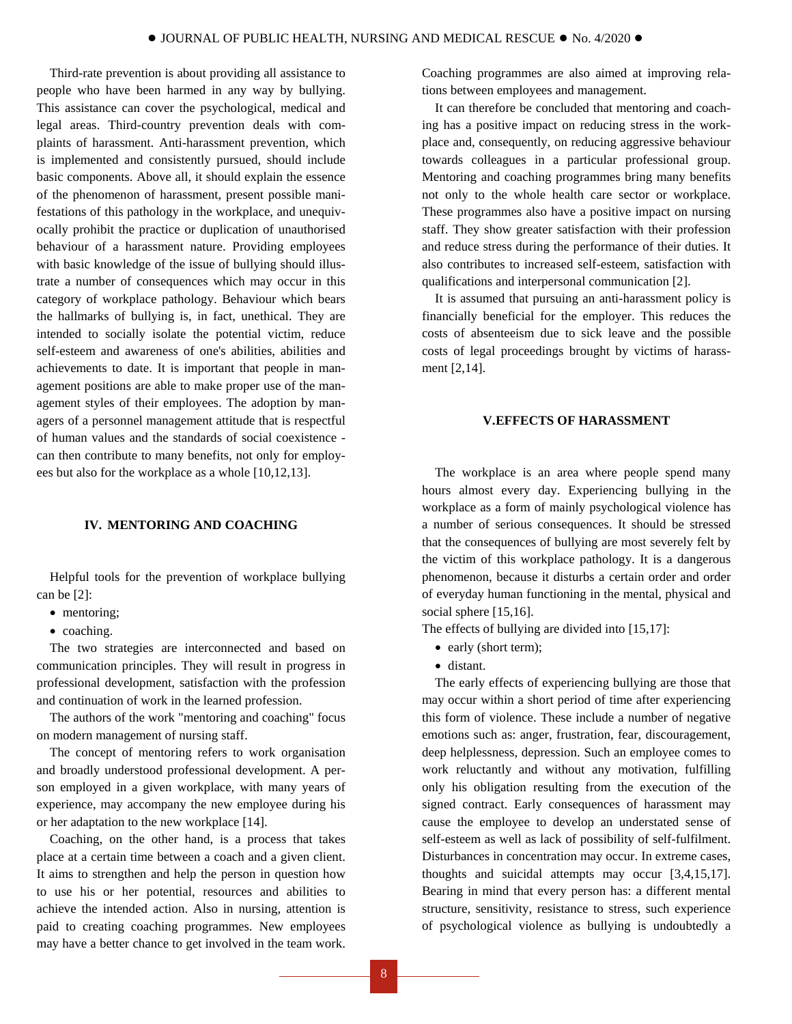Third-rate prevention is about providing all assistance to people who have been harmed in any way by bullying. This assistance can cover the psychological, medical and legal areas. Third-country prevention deals with complaints of harassment. Anti-harassment prevention, which is implemented and consistently pursued, should include basic components. Above all, it should explain the essence of the phenomenon of harassment, present possible manifestations of this pathology in the workplace, and unequivocally prohibit the practice or duplication of unauthorised behaviour of a harassment nature. Providing employees with basic knowledge of the issue of bullying should illustrate a number of consequences which may occur in this category of workplace pathology. Behaviour which bears the hallmarks of bullying is, in fact, unethical. They are intended to socially isolate the potential victim, reduce self-esteem and awareness of one's abilities, abilities and achievements to date. It is important that people in management positions are able to make proper use of the management styles of their employees. The adoption by managers of a personnel management attitude that is respectful of human values and the standards of social coexistence can then contribute to many benefits, not only for employees but also for the workplace as a whole [10,12,13].

# **IV. MENTORING AND COACHING**

Helpful tools for the prevention of workplace bullying can be [2]:

- mentoring;
- coaching.

The two strategies are interconnected and based on communication principles. They will result in progress in professional development, satisfaction with the profession and continuation of work in the learned profession.

The authors of the work "mentoring and coaching" focus on modern management of nursing staff.

The concept of mentoring refers to work organisation and broadly understood professional development. A person employed in a given workplace, with many years of experience, may accompany the new employee during his or her adaptation to the new workplace [14].

Coaching, on the other hand, is a process that takes place at a certain time between a coach and a given client. It aims to strengthen and help the person in question how to use his or her potential, resources and abilities to achieve the intended action. Also in nursing, attention is paid to creating coaching programmes. New employees may have a better chance to get involved in the team work.

Coaching programmes are also aimed at improving relations between employees and management.

It can therefore be concluded that mentoring and coaching has a positive impact on reducing stress in the workplace and, consequently, on reducing aggressive behaviour towards colleagues in a particular professional group. Mentoring and coaching programmes bring many benefits not only to the whole health care sector or workplace. These programmes also have a positive impact on nursing staff. They show greater satisfaction with their profession and reduce stress during the performance of their duties. It also contributes to increased self-esteem, satisfaction with qualifications and interpersonal communication [2].

It is assumed that pursuing an anti-harassment policy is financially beneficial for the employer. This reduces the costs of absenteeism due to sick leave and the possible costs of legal proceedings brought by victims of harassment [2,14].

# **V.EFFECTS OF HARASSMENT**

The workplace is an area where people spend many hours almost every day. Experiencing bullying in the workplace as a form of mainly psychological violence has a number of serious consequences. It should be stressed that the consequences of bullying are most severely felt by the victim of this workplace pathology. It is a dangerous phenomenon, because it disturbs a certain order and order of everyday human functioning in the mental, physical and social sphere [15,16].

The effects of bullying are divided into [15,17]:

- early (short term);
- distant.

The early effects of experiencing bullying are those that may occur within a short period of time after experiencing this form of violence. These include a number of negative emotions such as: anger, frustration, fear, discouragement, deep helplessness, depression. Such an employee comes to work reluctantly and without any motivation, fulfilling only his obligation resulting from the execution of the signed contract. Early consequences of harassment may cause the employee to develop an understated sense of self-esteem as well as lack of possibility of self-fulfilment. Disturbances in concentration may occur. In extreme cases, thoughts and suicidal attempts may occur [3,4,15,17]. Bearing in mind that every person has: a different mental structure, sensitivity, resistance to stress, such experience of psychological violence as bullying is undoubtedly a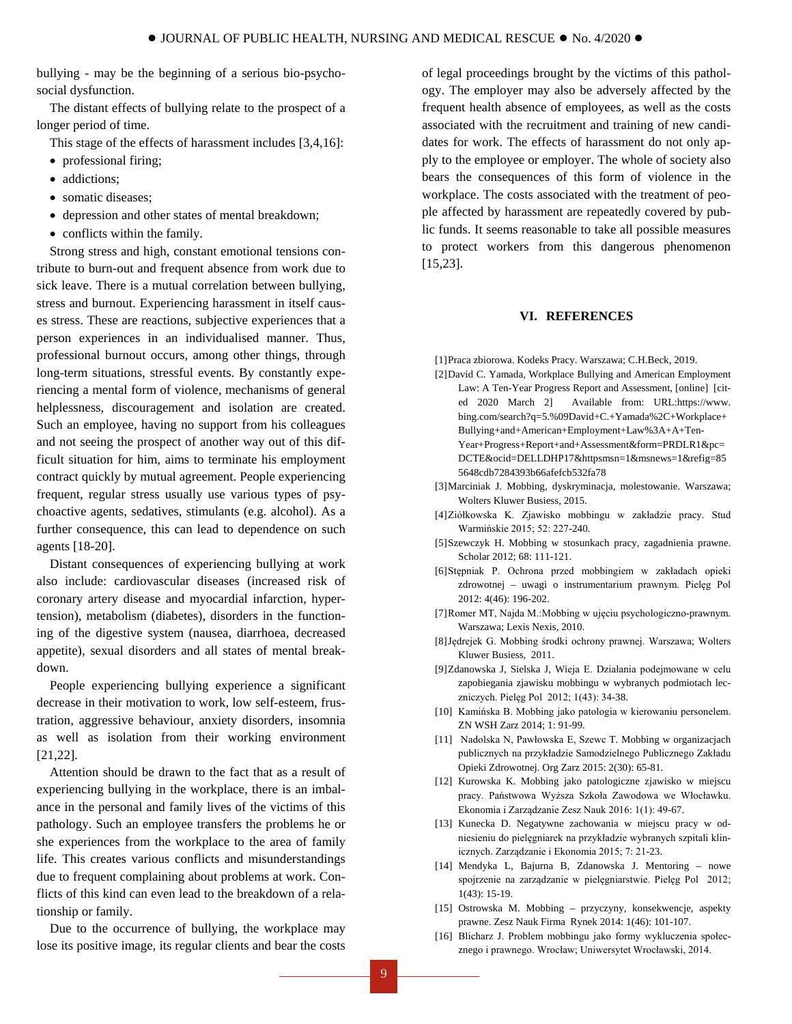bullying - may be the beginning of a serious bio-psychosocial dysfunction.

The distant effects of bullying relate to the prospect of a longer period of time.

- This stage of the effects of harassment includes [3,4,16]:
- professional firing;
- addictions;
- somatic diseases:
- depression and other states of mental breakdown;
- conflicts within the family.

Strong stress and high, constant emotional tensions contribute to burn-out and frequent absence from work due to sick leave. There is a mutual correlation between bullying, stress and burnout. Experiencing harassment in itself causes stress. These are reactions, subjective experiences that a person experiences in an individualised manner. Thus, professional burnout occurs, among other things, through long-term situations, stressful events. By constantly experiencing a mental form of violence, mechanisms of general helplessness, discouragement and isolation are created. Such an employee, having no support from his colleagues and not seeing the prospect of another way out of this difficult situation for him, aims to terminate his employment contract quickly by mutual agreement. People experiencing frequent, regular stress usually use various types of psychoactive agents, sedatives, stimulants (e.g. alcohol). As a further consequence, this can lead to dependence on such agents [18-20].

Distant consequences of experiencing bullying at work also include: cardiovascular diseases (increased risk of coronary artery disease and myocardial infarction, hypertension), metabolism (diabetes), disorders in the functioning of the digestive system (nausea, diarrhoea, decreased appetite), sexual disorders and all states of mental breakdown.

People experiencing bullying experience a significant decrease in their motivation to work, low self-esteem, frustration, aggressive behaviour, anxiety disorders, insomnia as well as isolation from their working environment [21,22].

Attention should be drawn to the fact that as a result of experiencing bullying in the workplace, there is an imbalance in the personal and family lives of the victims of this pathology. Such an employee transfers the problems he or she experiences from the workplace to the area of family life. This creates various conflicts and misunderstandings due to frequent complaining about problems at work. Conflicts of this kind can even lead to the breakdown of a relationship or family.

Due to the occurrence of bullying, the workplace may lose its positive image, its regular clients and bear the costs of legal proceedings brought by the victims of this pathology. The employer may also be adversely affected by the frequent health absence of employees, as well as the costs associated with the recruitment and training of new candidates for work. The effects of harassment do not only apply to the employee or employer. The whole of society also bears the consequences of this form of violence in the workplace. The costs associated with the treatment of people affected by harassment are repeatedly covered by public funds. It seems reasonable to take all possible measures to protect workers from this dangerous phenomenon [15,23].

#### **VI. REFERENCES**

- [1]Praca zbiorowa. Kodeks Pracy. Warszawa; C.H.Beck, 2019.
- [2]David C. Yamada, Workplace Bullying and American Employment Law: A Ten-Year Progress Report and Assessment, [online] [cited 2020 March 2] Available from: [URL:https://www.](https://www/) bing.com/search?q=5.%09David+C.+Yamada%2C+Workplace+ Bullying+and+American+Employment+Law%3A+A+Ten-Year+Progress+Report+and+Assessment&form=PRDLR1&pc= DCTE&ocid=DELLDHP17&httpsmsn=1&msnews=1&refig=85 5648cdb7284393b66afefcb532fa78
- [3]Marciniak J. Mobbing, dyskryminacja, molestowanie. Warszawa; Wolters Kluwer Busiess, 2015.
- [4]Ziółkowska K. Zjawisko mobbingu w zakładzie pracy. Stud Warmińskie 2015; 52: 227-240.
- [5]Szewczyk H. Mobbing w stosunkach pracy, zagadnienia prawne. Scholar 2012; 68: 111-121.
- [6]Stępniak P. Ochrona przed mobbingiem w zakładach opieki zdrowotnej – uwagi o instrumentarium prawnym. Pielęg Pol 2012: 4(46): 196-202.
- [7]Romer MT, Najda M.:Mobbing w ujęciu psychologiczno-prawnym. Warszawa; Lexis Nexis, 2010.
- [8]Jędrejek G. Mobbing środki ochrony prawnej. Warszawa; Wolters Kluwer Busiess, 2011.
- [9]Zdanowska J, Sielska J, Wieja E. Działania podejmowane w celu zapobiegania zjawisku mobbingu w wybranych podmiotach leczniczych. Pielęg Pol 2012; 1(43): 34-38.
- [10] Kamińska B. Mobbing jako patologia w kierowaniu personelem. ZN WSH Zarz 2014; 1: 91-99.
- [11] Nadolska N, Pawłowska E, Szewc T. Mobbing w organizacjach publicznych na przykładzie Samodzielnego Publicznego Zakładu Opieki Zdrowotnej. Org Zarz 2015: 2(30): 65-81.
- [12] Kurowska K. Mobbing jako patologiczne zjawisko w miejscu pracy. Państwowa Wyższa Szkoła Zawodowa we Włocławku. Ekonomia i Zarządzanie Zesz Nauk 2016: 1(1): 49-67.
- [13] Kunecka D. Negatywne zachowania w miejscu pracy w odniesieniu do pielęgniarek na przykładzie wybranych szpitali klinicznych. Zarządzanie i Ekonomia 2015; 7: 21-23.
- [14] Mendyka L, Bajurna B, Zdanowska J. Mentoring nowe spojrzenie na zarządzanie w pielęgniarstwie. Pielęg Pol 2012; 1(43): 15-19.
- [15] Ostrowska M. Mobbing przyczyny, konsekwencje, aspekty prawne. Zesz Nauk Firma Rynek 2014: 1(46): 101-107.
- [16] Blicharz J. Problem mobbingu jako formy wykluczenia społecznego i prawnego. Wrocław; Uniwersytet Wrocławski, 2014.